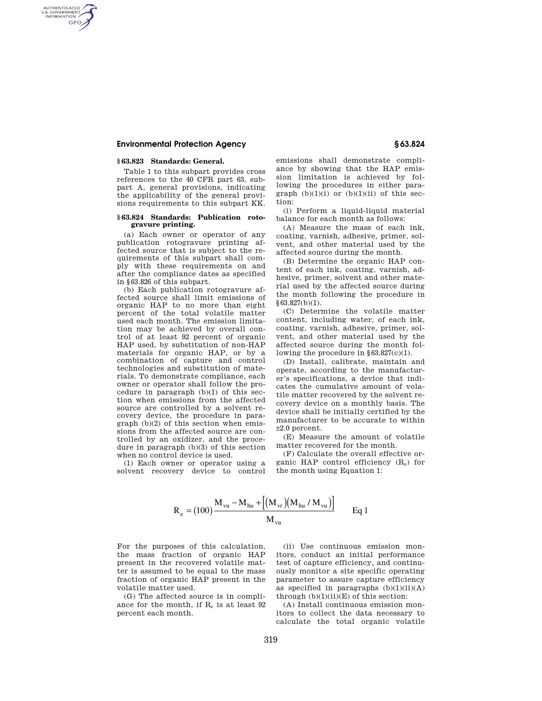# **Environmental Protection Agency § 63.824**

## **§ 63.823 Standards: General.**

AUTHENTICATED<br>U.S. GOVERNMENT<br>INFORMATION **GPO** 

> Table 1 to this subpart provides cross references to the 40 CFR part 63, subpart A, general provisions, indicating the applicability of the general provisions requirements to this subpart KK.

#### **§ 63.824 Standards: Publication rotogravure printing.**

(a) Each owner or operator of any publication rotogravure printing affected source that is subject to the requirements of this subpart shall comply with these requirements on and after the compliance dates as specified in §63.826 of this subpart.

(b) Each publication rotogravure affected source shall limit emissions of organic HAP to no more than eight percent of the total volatile matter used each month. The emission limitation may be achieved by overall control of at least 92 percent of organic HAP used, by substitution of non-HAP materials for organic HAP, or by a combination of capture and control technologies and substitution of materials. To demonstrate compliance, each owner or operator shall follow the procedure in paragraph (b)(1) of this section when emissions from the affected source are controlled by a solvent recovery device, the procedure in paragraph (b)(2) of this section when emissions from the affected source are controlled by an oxidizer, and the procedure in paragraph (b)(3) of this section when no control device is used.

(1) Each owner or operator using a solvent recovery device to control

emissions shall demonstrate compliance by showing that the HAP emission limitation is achieved by following the procedures in either paragraph  $(b)(1)(i)$  or  $(b)(1)(ii)$  of this section:

(i) Perform a liquid-liquid material balance for each month as follows:

(A) Measure the mass of each ink, coating, varnish, adhesive, primer, solvent, and other material used by the affected source during the month.

(B) Determine the organic HAP content of each ink, coating, varnish, adhesive, primer, solvent and other material used by the affected source during the month following the procedure in §63.827(b)(1).

(C) Determine the volatile matter content, including water, of each ink, coating, varnish, adhesive, primer, solvent, and other material used by the affected source during the month following the procedure in §63.827(c)(1).

(D) Install, calibrate, maintain and operate, according to the manufacturer's specifications, a device that indicates the cumulative amount of volatile matter recovered by the solvent recovery device on a monthly basis. The device shall be initially certified by the manufacturer to be accurate to within  $+2.0$  percent.

(E) Measure the amount of volatile matter recovered for the month.

(F) Calculate the overall effective organic HAP control efficiency (Re) for the month using Equation 1:

$$
R_e = (100) \frac{M_{vu} - M_{hu} + [(M_{vr})(M_{hu}/M_{vu})]}{M_{vu}}
$$
 Eq 1

For the purposes of this calculation, the mass fraction of organic HAP present in the recovered volatile matter is assumed to be equal to the mass fraction of organic HAP present in the volatile matter used.

(G) The affected source is in compliance for the month, if  $R_e$  is at least  $92$ percent each month.

(ii) Use continuous emission monitors, conduct an initial performance test of capture efficiency, and continuously monitor a site specific operating parameter to assure capture efficiency as specified in paragraphs  $(b)(1)(ii)(A)$ through  $(b)(1)(ii)(E)$  of this section:

(A) Install continuous emission monitors to collect the data necessary to calculate the total organic volatile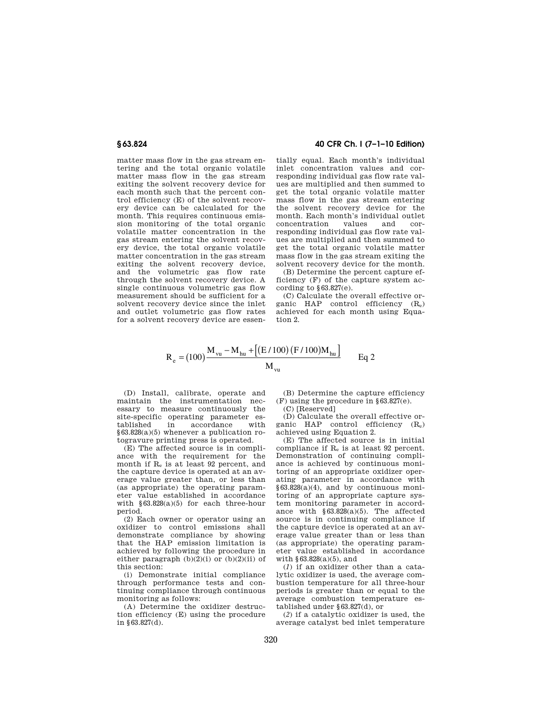matter mass flow in the gas stream entering and the total organic volatile matter mass flow in the gas stream exiting the solvent recovery device for each month such that the percent control efficiency (E) of the solvent recovery device can be calculated for the month. This requires continuous emission monitoring of the total organic volatile matter concentration in the gas stream entering the solvent recovery device, the total organic volatile matter concentration in the gas stream exiting the solvent recovery device, and the volumetric gas flow rate through the solvent recovery device. A single continuous volumetric gas flow measurement should be sufficient for a solvent recovery device since the inlet and outlet volumetric gas flow rates for a solvent recovery device are essen-

# **§ 63.824 40 CFR Ch. I (7–1–10 Edition)**

tially equal. Each month's individual inlet concentration values and corresponding individual gas flow rate values are multiplied and then summed to get the total organic volatile matter mass flow in the gas stream entering the solvent recovery device for the month. Each month's individual outlet<br>concentration values and corconcentration values and corresponding individual gas flow rate values are multiplied and then summed to get the total organic volatile matter mass flow in the gas stream exiting the solvent recovery device for the month.

(B) Determine the percent capture efficiency (F) of the capture system according to  $§63.827(e)$ .

(C) Calculate the overall effective organic HAP control efficiency (Re) achieved for each month using Equation 2.

$$
R_e = (100) \frac{M_{vu} - M_{hu} + [(E/100) (F/100)M_{hu}]}{M_{vu}}
$$
 Eq 2

(D) Install, calibrate, operate and maintain the instrumentation necessary to measure continuously the site-specific operating parameter established in accordance with §63.828(a)(5) whenever a publication rotogravure printing press is operated.

(E) The affected source is in compliance with the requirement for the month if  $R_e$  is at least 92 percent, and the capture device is operated at an average value greater than, or less than (as appropriate) the operating parameter value established in accordance with  $§63.828(a)(5)$  for each three-hour period.

(2) Each owner or operator using an oxidizer to control emissions shall demonstrate compliance by showing that the HAP emission limitation is achieved by following the procedure in either paragraph  $(b)(2)(i)$  or  $(b)(2)(ii)$  of this section:

(i) Demonstrate initial compliance through performance tests and continuing compliance through continuous monitoring as follows:

(A) Determine the oxidizer destruction efficiency (E) using the procedure in §63.827(d).

(B) Determine the capture efficiency (F) using the procedure in §63.827(e).

(C) [Reserved]

(D) Calculate the overall effective organic HAP control efficiency (Re) achieved using Equation 2.

(E) The affected source is in initial compliance if R<sup>e</sup> is at least 92 percent. Demonstration of continuing compliance is achieved by continuous monitoring of an appropriate oxidizer operating parameter in accordance with §63.828(a)(4), and by continuous monitoring of an appropriate capture system monitoring parameter in accordance with §63.828(a)(5). The affected source is in continuing compliance if the capture device is operated at an average value greater than or less than (as appropriate) the operating parameter value established in accordance with §63.828(a)(5), and

(*1*) if an oxidizer other than a catalytic oxidizer is used, the average combustion temperature for all three-hour periods is greater than or equal to the average combustion temperature established under §63.827(d), or

(*2*) if a catalytic oxidizer is used, the average catalyst bed inlet temperature